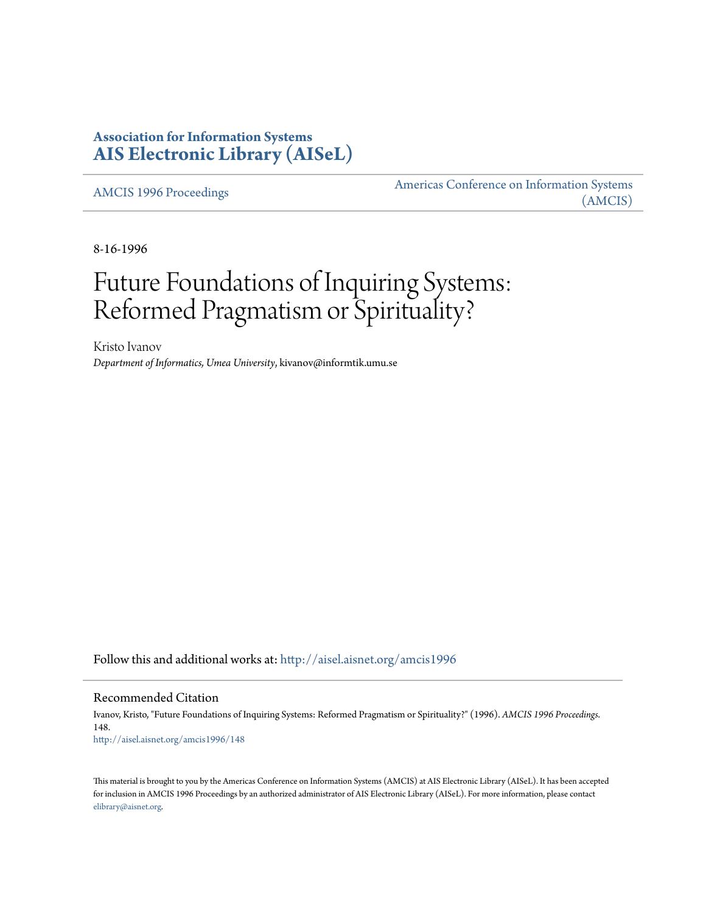# **Association for Information Systems [AIS Electronic Library \(AISeL\)](http://aisel.aisnet.org?utm_source=aisel.aisnet.org%2Famcis1996%2F148&utm_medium=PDF&utm_campaign=PDFCoverPages)**

[AMCIS 1996 Proceedings](http://aisel.aisnet.org/amcis1996?utm_source=aisel.aisnet.org%2Famcis1996%2F148&utm_medium=PDF&utm_campaign=PDFCoverPages)

[Americas Conference on Information Systems](http://aisel.aisnet.org/amcis?utm_source=aisel.aisnet.org%2Famcis1996%2F148&utm_medium=PDF&utm_campaign=PDFCoverPages) [\(AMCIS\)](http://aisel.aisnet.org/amcis?utm_source=aisel.aisnet.org%2Famcis1996%2F148&utm_medium=PDF&utm_campaign=PDFCoverPages)

8-16-1996

# Future Foundations of Inquiring Systems: Reformed Pragmatism or Spirituality?

Kristo Ivanov *Department of Informatics, Umea University*, kivanov@informtik.umu.se

Follow this and additional works at: [http://aisel.aisnet.org/amcis1996](http://aisel.aisnet.org/amcis1996?utm_source=aisel.aisnet.org%2Famcis1996%2F148&utm_medium=PDF&utm_campaign=PDFCoverPages)

Recommended Citation

Ivanov, Kristo, "Future Foundations of Inquiring Systems: Reformed Pragmatism or Spirituality?" (1996). *AMCIS 1996 Proceedings*. 148. [http://aisel.aisnet.org/amcis1996/148](http://aisel.aisnet.org/amcis1996/148?utm_source=aisel.aisnet.org%2Famcis1996%2F148&utm_medium=PDF&utm_campaign=PDFCoverPages)

This material is brought to you by the Americas Conference on Information Systems (AMCIS) at AIS Electronic Library (AISeL). It has been accepted for inclusion in AMCIS 1996 Proceedings by an authorized administrator of AIS Electronic Library (AISeL). For more information, please contact [elibrary@aisnet.org.](mailto:elibrary@aisnet.org%3E)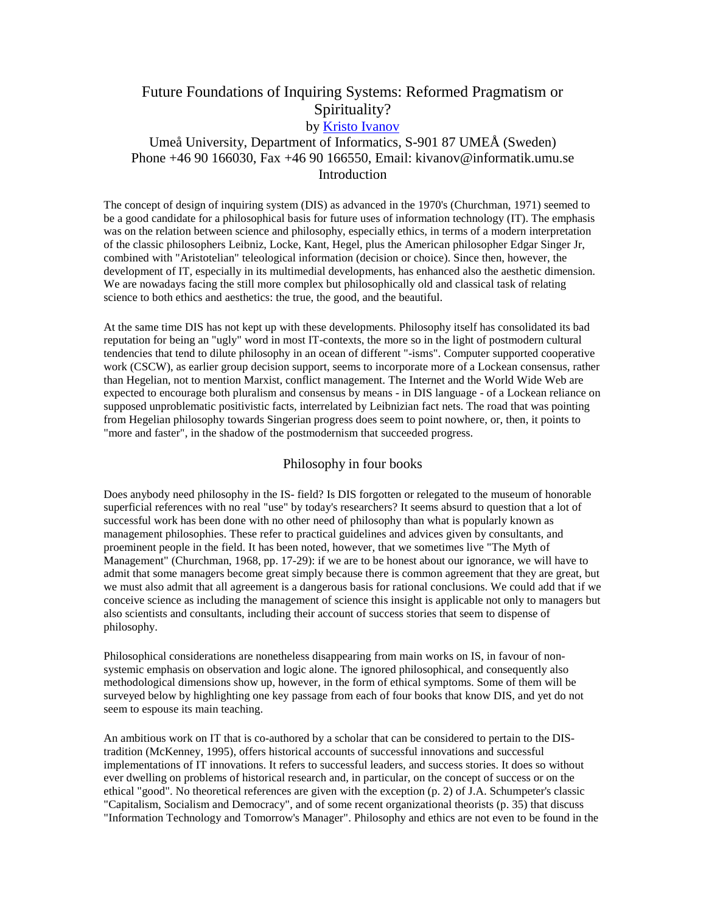# Future Foundations of Inquiring Systems: Reformed Pragmatism or Spirituality?

## by [Kristo Ivanov](mailto:kivanov@informataik.umu.se)

## Umeå University, Department of Informatics, S-901 87 UMEÅ (Sweden) Phone +46 90 166030, Fax +46 90 166550, Email: kivanov@informatik.umu.se **Introduction**

The concept of design of inquiring system (DIS) as advanced in the 1970's (Churchman, 1971) seemed to be a good candidate for a philosophical basis for future uses of information technology (IT). The emphasis was on the relation between science and philosophy, especially ethics, in terms of a modern interpretation of the classic philosophers Leibniz, Locke, Kant, Hegel, plus the American philosopher Edgar Singer Jr, combined with "Aristotelian" teleological information (decision or choice). Since then, however, the development of IT, especially in its multimedial developments, has enhanced also the aesthetic dimension. We are nowadays facing the still more complex but philosophically old and classical task of relating science to both ethics and aesthetics: the true, the good, and the beautiful.

At the same time DIS has not kept up with these developments. Philosophy itself has consolidated its bad reputation for being an "ugly" word in most IT-contexts, the more so in the light of postmodern cultural tendencies that tend to dilute philosophy in an ocean of different "-isms". Computer supported cooperative work (CSCW), as earlier group decision support, seems to incorporate more of a Lockean consensus, rather than Hegelian, not to mention Marxist, conflict management. The Internet and the World Wide Web are expected to encourage both pluralism and consensus by means - in DIS language - of a Lockean reliance on supposed unproblematic positivistic facts, interrelated by Leibnizian fact nets. The road that was pointing from Hegelian philosophy towards Singerian progress does seem to point nowhere, or, then, it points to "more and faster", in the shadow of the postmodernism that succeeded progress.

### Philosophy in four books

Does anybody need philosophy in the IS- field? Is DIS forgotten or relegated to the museum of honorable superficial references with no real "use" by today's researchers? It seems absurd to question that a lot of successful work has been done with no other need of philosophy than what is popularly known as management philosophies. These refer to practical guidelines and advices given by consultants, and proeminent people in the field. It has been noted, however, that we sometimes live "The Myth of Management" (Churchman, 1968, pp. 17-29): if we are to be honest about our ignorance, we will have to admit that some managers become great simply because there is common agreement that they are great, but we must also admit that all agreement is a dangerous basis for rational conclusions. We could add that if we conceive science as including the management of science this insight is applicable not only to managers but also scientists and consultants, including their account of success stories that seem to dispense of philosophy.

Philosophical considerations are nonetheless disappearing from main works on IS, in favour of nonsystemic emphasis on observation and logic alone. The ignored philosophical, and consequently also methodological dimensions show up, however, in the form of ethical symptoms. Some of them will be surveyed below by highlighting one key passage from each of four books that know DIS, and yet do not seem to espouse its main teaching.

An ambitious work on IT that is co-authored by a scholar that can be considered to pertain to the DIStradition (McKenney, 1995), offers historical accounts of successful innovations and successful implementations of IT innovations. It refers to successful leaders, and success stories. It does so without ever dwelling on problems of historical research and, in particular, on the concept of success or on the ethical "good". No theoretical references are given with the exception (p. 2) of J.A. Schumpeter's classic "Capitalism, Socialism and Democracy", and of some recent organizational theorists (p. 35) that discuss "Information Technology and Tomorrow's Manager". Philosophy and ethics are not even to be found in the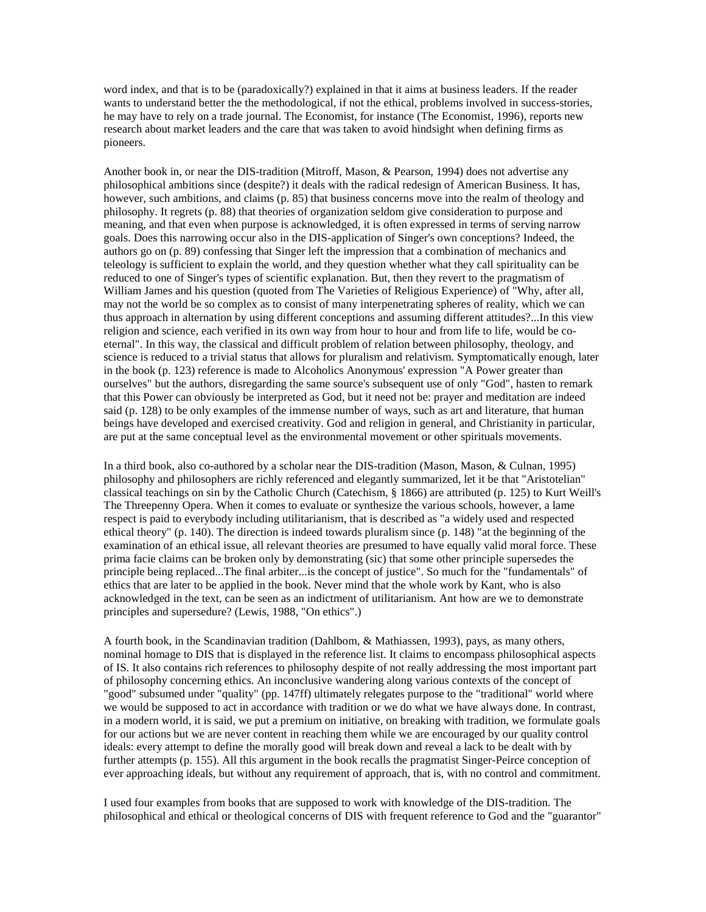word index, and that is to be (paradoxically?) explained in that it aims at business leaders. If the reader wants to understand better the the methodological, if not the ethical, problems involved in success-stories, he may have to rely on a trade journal. The Economist, for instance (The Economist, 1996), reports new research about market leaders and the care that was taken to avoid hindsight when defining firms as pioneers.

Another book in, or near the DIS-tradition (Mitroff, Mason, & Pearson, 1994) does not advertise any philosophical ambitions since (despite?) it deals with the radical redesign of American Business. It has, however, such ambitions, and claims (p. 85) that business concerns move into the realm of theology and philosophy. It regrets (p. 88) that theories of organization seldom give consideration to purpose and meaning, and that even when purpose is acknowledged, it is often expressed in terms of serving narrow goals. Does this narrowing occur also in the DIS-application of Singer's own conceptions? Indeed, the authors go on (p. 89) confessing that Singer left the impression that a combination of mechanics and teleology is sufficient to explain the world, and they question whether what they call spirituality can be reduced to one of Singer's types of scientific explanation. But, then they revert to the pragmatism of William James and his question (quoted from The Varieties of Religious Experience) of "Why, after all, may not the world be so complex as to consist of many interpenetrating spheres of reality, which we can thus approach in alternation by using different conceptions and assuming different attitudes?...In this view religion and science, each verified in its own way from hour to hour and from life to life, would be coeternal". In this way, the classical and difficult problem of relation between philosophy, theology, and science is reduced to a trivial status that allows for pluralism and relativism. Symptomatically enough, later in the book (p. 123) reference is made to Alcoholics Anonymous' expression "A Power greater than ourselves" but the authors, disregarding the same source's subsequent use of only "God", hasten to remark that this Power can obviously be interpreted as God, but it need not be: prayer and meditation are indeed said (p. 128) to be only examples of the immense number of ways, such as art and literature, that human beings have developed and exercised creativity. God and religion in general, and Christianity in particular, are put at the same conceptual level as the environmental movement or other spirituals movements.

In a third book, also co-authored by a scholar near the DIS-tradition (Mason, Mason, & Culnan, 1995) philosophy and philosophers are richly referenced and elegantly summarized, let it be that "Aristotelian" classical teachings on sin by the Catholic Church (Catechism, § 1866) are attributed (p. 125) to Kurt Weill's The Threepenny Opera. When it comes to evaluate or synthesize the various schools, however, a lame respect is paid to everybody including utilitarianism, that is described as "a widely used and respected ethical theory" (p. 140). The direction is indeed towards pluralism since (p. 148) "at the beginning of the examination of an ethical issue, all relevant theories are presumed to have equally valid moral force. These prima facie claims can be broken only by demonstrating (sic) that some other principle supersedes the principle being replaced...The final arbiter...is the concept of justice". So much for the "fundamentals" of ethics that are later to be applied in the book. Never mind that the whole work by Kant, who is also acknowledged in the text, can be seen as an indictment of utilitarianism. Ant how are we to demonstrate principles and supersedure? (Lewis, 1988, "On ethics".)

A fourth book, in the Scandinavian tradition (Dahlbom, & Mathiassen, 1993), pays, as many others, nominal homage to DIS that is displayed in the reference list. It claims to encompass philosophical aspects of IS. It also contains rich references to philosophy despite of not really addressing the most important part of philosophy concerning ethics. An inconclusive wandering along various contexts of the concept of "good" subsumed under "quality" (pp. 147ff) ultimately relegates purpose to the "traditional" world where we would be supposed to act in accordance with tradition or we do what we have always done. In contrast, in a modern world, it is said, we put a premium on initiative, on breaking with tradition, we formulate goals for our actions but we are never content in reaching them while we are encouraged by our quality control ideals: every attempt to define the morally good will break down and reveal a lack to be dealt with by further attempts (p. 155). All this argument in the book recalls the pragmatist Singer-Peirce conception of ever approaching ideals, but without any requirement of approach, that is, with no control and commitment.

I used four examples from books that are supposed to work with knowledge of the DIS-tradition. The philosophical and ethical or theological concerns of DIS with frequent reference to God and the "guarantor"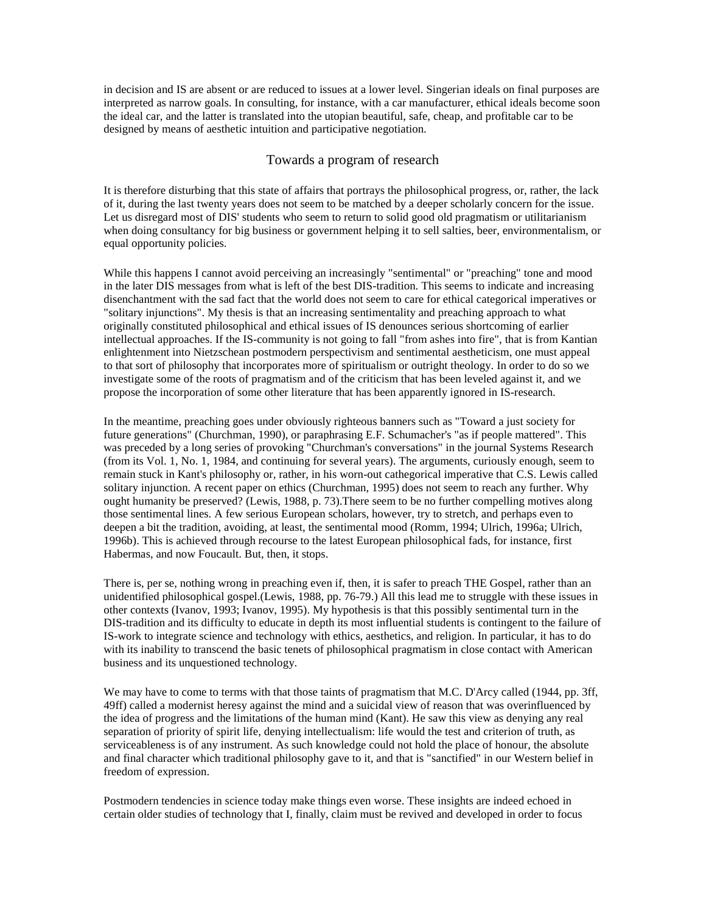in decision and IS are absent or are reduced to issues at a lower level. Singerian ideals on final purposes are interpreted as narrow goals. In consulting, for instance, with a car manufacturer, ethical ideals become soon the ideal car, and the latter is translated into the utopian beautiful, safe, cheap, and profitable car to be designed by means of aesthetic intuition and participative negotiation.

## Towards a program of research

It is therefore disturbing that this state of affairs that portrays the philosophical progress, or, rather, the lack of it, during the last twenty years does not seem to be matched by a deeper scholarly concern for the issue. Let us disregard most of DIS' students who seem to return to solid good old pragmatism or utilitarianism when doing consultancy for big business or government helping it to sell salties, beer, environmentalism, or equal opportunity policies.

While this happens I cannot avoid perceiving an increasingly "sentimental" or "preaching" tone and mood in the later DIS messages from what is left of the best DIS-tradition. This seems to indicate and increasing disenchantment with the sad fact that the world does not seem to care for ethical categorical imperatives or "solitary injunctions". My thesis is that an increasing sentimentality and preaching approach to what originally constituted philosophical and ethical issues of IS denounces serious shortcoming of earlier intellectual approaches. If the IS-community is not going to fall "from ashes into fire", that is from Kantian enlightenment into Nietzschean postmodern perspectivism and sentimental aestheticism, one must appeal to that sort of philosophy that incorporates more of spiritualism or outright theology. In order to do so we investigate some of the roots of pragmatism and of the criticism that has been leveled against it, and we propose the incorporation of some other literature that has been apparently ignored in IS-research.

In the meantime, preaching goes under obviously righteous banners such as "Toward a just society for future generations" (Churchman, 1990), or paraphrasing E.F. Schumacher's "as if people mattered". This was preceded by a long series of provoking "Churchman's conversations" in the journal Systems Research (from its Vol. 1, No. 1, 1984, and continuing for several years). The arguments, curiously enough, seem to remain stuck in Kant's philosophy or, rather, in his worn-out cathegorical imperative that C.S. Lewis called solitary injunction. A recent paper on ethics (Churchman, 1995) does not seem to reach any further. Why ought humanity be preserved? (Lewis, 1988, p. 73).There seem to be no further compelling motives along those sentimental lines. A few serious European scholars, however, try to stretch, and perhaps even to deepen a bit the tradition, avoiding, at least, the sentimental mood (Romm, 1994; Ulrich, 1996a; Ulrich, 1996b). This is achieved through recourse to the latest European philosophical fads, for instance, first Habermas, and now Foucault. But, then, it stops.

There is, per se, nothing wrong in preaching even if, then, it is safer to preach THE Gospel, rather than an unidentified philosophical gospel.(Lewis, 1988, pp. 76-79.) All this lead me to struggle with these issues in other contexts (Ivanov, 1993; Ivanov, 1995). My hypothesis is that this possibly sentimental turn in the DIS-tradition and its difficulty to educate in depth its most influential students is contingent to the failure of IS-work to integrate science and technology with ethics, aesthetics, and religion. In particular, it has to do with its inability to transcend the basic tenets of philosophical pragmatism in close contact with American business and its unquestioned technology.

We may have to come to terms with that those taints of pragmatism that M.C. D'Arcy called (1944, pp. 3ff, 49ff) called a modernist heresy against the mind and a suicidal view of reason that was overinfluenced by the idea of progress and the limitations of the human mind (Kant). He saw this view as denying any real separation of priority of spirit life, denying intellectualism: life would the test and criterion of truth, as serviceableness is of any instrument. As such knowledge could not hold the place of honour, the absolute and final character which traditional philosophy gave to it, and that is "sanctified" in our Western belief in freedom of expression.

Postmodern tendencies in science today make things even worse. These insights are indeed echoed in certain older studies of technology that I, finally, claim must be revived and developed in order to focus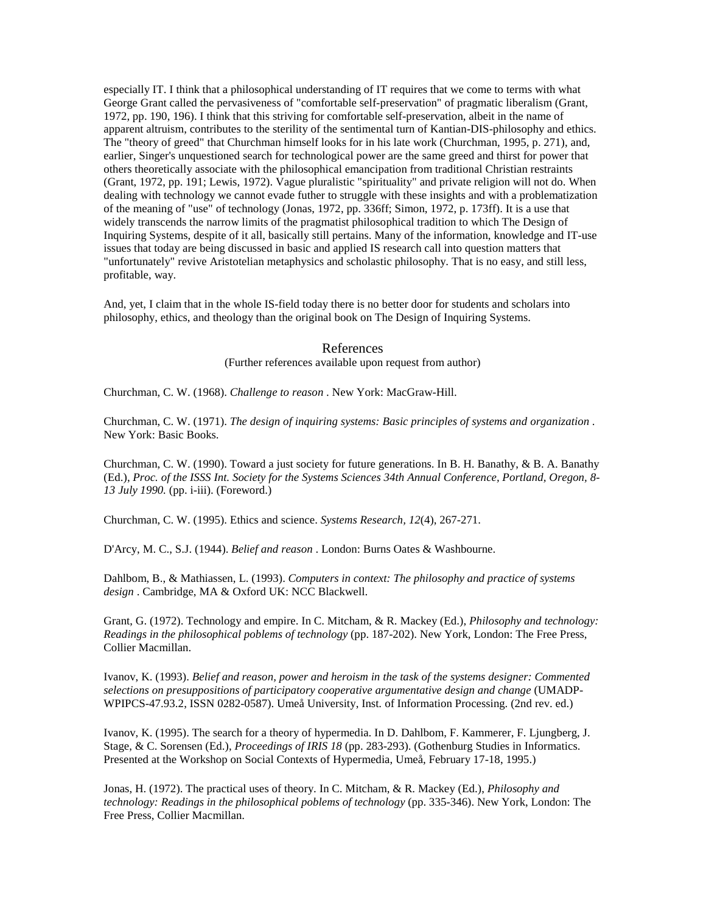especially IT. I think that a philosophical understanding of IT requires that we come to terms with what George Grant called the pervasiveness of "comfortable self-preservation" of pragmatic liberalism (Grant, 1972, pp. 190, 196). I think that this striving for comfortable self-preservation, albeit in the name of apparent altruism, contributes to the sterility of the sentimental turn of Kantian-DIS-philosophy and ethics. The "theory of greed" that Churchman himself looks for in his late work (Churchman, 1995, p. 271), and, earlier, Singer's unquestioned search for technological power are the same greed and thirst for power that others theoretically associate with the philosophical emancipation from traditional Christian restraints (Grant, 1972, pp. 191; Lewis, 1972). Vague pluralistic "spirituality" and private religion will not do. When dealing with technology we cannot evade futher to struggle with these insights and with a problematization of the meaning of "use" of technology (Jonas, 1972, pp. 336ff; Simon, 1972, p. 173ff). It is a use that widely transcends the narrow limits of the pragmatist philosophical tradition to which The Design of Inquiring Systems, despite of it all, basically still pertains. Many of the information, knowledge and IT-use issues that today are being discussed in basic and applied IS research call into question matters that "unfortunately" revive Aristotelian metaphysics and scholastic philosophy. That is no easy, and still less, profitable, way.

And, yet, I claim that in the whole IS-field today there is no better door for students and scholars into philosophy, ethics, and theology than the original book on The Design of Inquiring Systems.

### References

(Further references available upon request from author)

Churchman, C. W. (1968). *Challenge to reason* . New York: MacGraw-Hill.

Churchman, C. W. (1971). *The design of inquiring systems: Basic principles of systems and organization* . New York: Basic Books.

Churchman, C. W. (1990). Toward a just society for future generations. In B. H. Banathy, & B. A. Banathy (Ed.), *Proc. of the ISSS Int. Society for the Systems Sciences 34th Annual Conference, Portland, Oregon, 8- 13 July 1990.* (pp. i-iii). (Foreword.)

Churchman, C. W. (1995). Ethics and science. *Systems Research, 12*(4), 267-271.

D'Arcy, M. C., S.J. (1944). *Belief and reason* . London: Burns Oates & Washbourne.

Dahlbom, B., & Mathiassen, L. (1993). *Computers in context: The philosophy and practice of systems design* . Cambridge, MA & Oxford UK: NCC Blackwell.

Grant, G. (1972). Technology and empire. In C. Mitcham, & R. Mackey (Ed.), *Philosophy and technology: Readings in the philosophical poblems of technology* (pp. 187-202). New York, London: The Free Press, Collier Macmillan.

Ivanov, K. (1993). *Belief and reason, power and heroism in the task of the systems designer: Commented selections on presuppositions of participatory cooperative argumentative design and change* (UMADP-WPIPCS-47.93.2, ISSN 0282-0587). Umeå University, Inst. of Information Processing. (2nd rev. ed.)

Ivanov, K. (1995). The search for a theory of hypermedia. In D. Dahlbom, F. Kammerer, F. Ljungberg, J. Stage, & C. Sorensen (Ed.), *Proceedings of IRIS 18* (pp. 283-293). (Gothenburg Studies in Informatics. Presented at the Workshop on Social Contexts of Hypermedia, Umeå, February 17-18, 1995.)

Jonas, H. (1972). The practical uses of theory. In C. Mitcham, & R. Mackey (Ed.), *Philosophy and technology: Readings in the philosophical poblems of technology* (pp. 335-346). New York, London: The Free Press, Collier Macmillan.